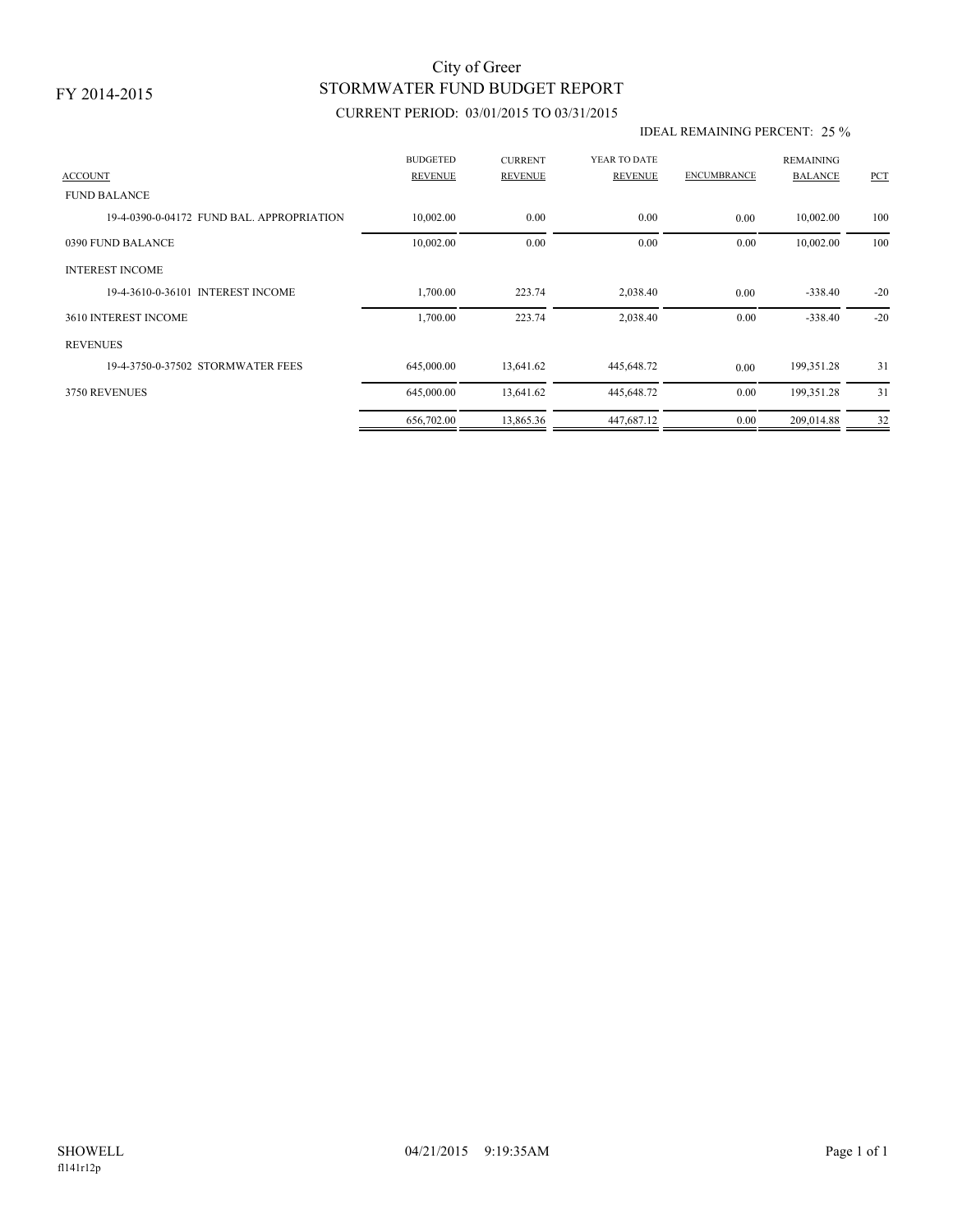## STORMWATER FUND BUDGET REPORT City of Greer

### CURRENT PERIOD: 03/01/2015 TO 03/31/2015

#### IDEAL REMAINING PERCENT: 25 %

| <b>ACCOUNT</b>                           | <b>BUDGETED</b><br><b>REVENUE</b> | <b>CURRENT</b><br><b>REVENUE</b> | YEAR TO DATE<br><b>REVENUE</b> | <b>ENCUMBRANCE</b> | <b>REMAINING</b><br><b>BALANCE</b> | <b>PCT</b> |
|------------------------------------------|-----------------------------------|----------------------------------|--------------------------------|--------------------|------------------------------------|------------|
| <b>FUND BALANCE</b>                      |                                   |                                  |                                |                    |                                    |            |
| 19-4-0390-0-04172 FUND BAL APPROPRIATION | 10,002.00                         | 0.00                             | 0.00                           | 0.00               | 10,002.00                          | 100        |
| 0390 FUND BALANCE                        | 10,002.00                         | 0.00                             | 0.00                           | 0.00               | 10,002.00                          | 100        |
| <b>INTEREST INCOME</b>                   |                                   |                                  |                                |                    |                                    |            |
| 19-4-3610-0-36101 INTEREST INCOME        | 1,700.00                          | 223.74                           | 2,038.40                       | 0.00               | $-338.40$                          | $-20$      |
| 3610 INTEREST INCOME                     | 1,700.00                          | 223.74                           | 2,038.40                       | 0.00               | $-338.40$                          | $-20$      |
| <b>REVENUES</b>                          |                                   |                                  |                                |                    |                                    |            |
| 19-4-3750-0-37502 STORMWATER FEES        | 645,000.00                        | 13,641.62                        | 445,648.72                     | 0.00               | 199,351.28                         | 31         |
| 3750 REVENUES                            | 645,000.00                        | 13,641.62                        | 445,648.72                     | 0.00               | 199,351.28                         | 31         |
|                                          | 656,702.00                        | 13,865.36                        | 447,687.12                     | 0.00               | 209,014.88                         | 32         |